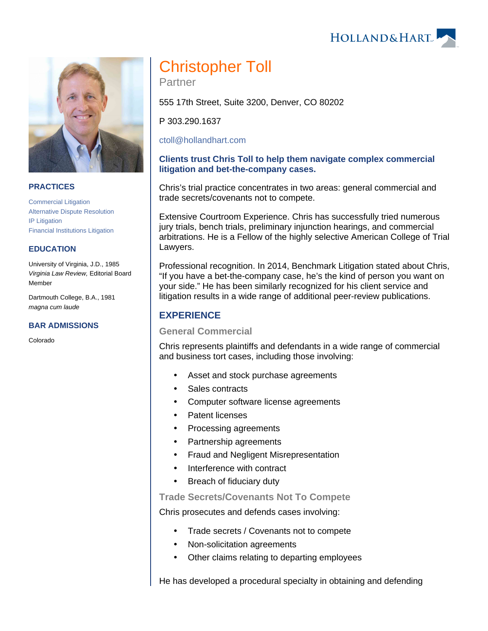HOLLAND& HART



#### **PRACTICES**

[Commercial Litigation](https://www.hollandhart.com/19684) [Alternative Dispute Resolution](https://www.hollandhart.com/19689) [IP Litigation](https://www.hollandhart.com/19716) [Financial Institutions Litigation](https://www.hollandhart.com/28488) 

#### **EDUCATION**

University of Virginia, J.D., 1985 Virginia Law Review, Editorial Board Member

Dartmouth College, B.A., 1981 magna cum laude

#### **BAR ADMISSIONS**

Colorado

# Christopher Toll

Partner

555 17th Street, Suite 3200, Denver, CO 80202

P 303.290.1637

[ctoll@hollandhart.com](mailto:ctoll@hollandhart.com)

#### **Clients trust Chris Toll to help them navigate complex commercial litigation and bet-the-company cases.**

Chris's trial practice concentrates in two areas: general commercial and trade secrets/covenants not to compete.

Extensive Courtroom Experience. Chris has successfully tried numerous jury trials, bench trials, preliminary injunction hearings, and commercial arbitrations. He is a Fellow of the highly selective American College of Trial Lawyers.

Professional recognition. In 2014, Benchmark Litigation stated about Chris, "If you have a bet-the-company case, he's the kind of person you want on your side." He has been similarly recognized for his client service and litigation results in a wide range of additional peer-review publications.

# **EXPERIENCE**

#### **General Commercial**

Chris represents plaintiffs and defendants in a wide range of commercial and business tort cases, including those involving:

- Asset and stock purchase agreements
- Sales contracts
- Computer software license agreements
- Patent licenses
- Processing agreements
- Partnership agreements
- Fraud and Negligent Misrepresentation
- Interference with contract
- Breach of fiduciary duty

**Trade Secrets/Covenants Not To Compete**

Chris prosecutes and defends cases involving:

- Trade secrets / Covenants not to compete
- Non-solicitation agreements
- Other claims relating to departing employees

He has developed a procedural specialty in obtaining and defending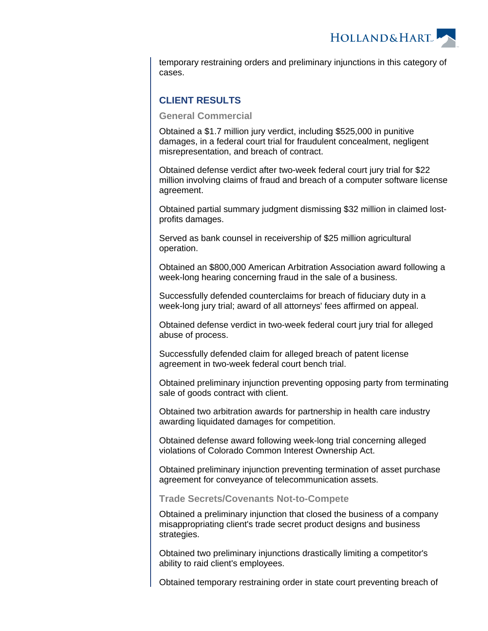HOLLAND&HART

temporary restraining orders and preliminary injunctions in this category of cases.

# **CLIENT RESULTS**

**General Commercial**

Obtained a \$1.7 million jury verdict, including \$525,000 in punitive damages, in a federal court trial for fraudulent concealment, negligent misrepresentation, and breach of contract.

Obtained defense verdict after two-week federal court jury trial for \$22 million involving claims of fraud and breach of a computer software license agreement.

Obtained partial summary judgment dismissing \$32 million in claimed lostprofits damages.

Served as bank counsel in receivership of \$25 million agricultural operation.

Obtained an \$800,000 American Arbitration Association award following a week-long hearing concerning fraud in the sale of a business.

Successfully defended counterclaims for breach of fiduciary duty in a week-long jury trial; award of all attorneys' fees affirmed on appeal.

Obtained defense verdict in two-week federal court jury trial for alleged abuse of process.

Successfully defended claim for alleged breach of patent license agreement in two-week federal court bench trial.

Obtained preliminary injunction preventing opposing party from terminating sale of goods contract with client.

Obtained two arbitration awards for partnership in health care industry awarding liquidated damages for competition.

Obtained defense award following week-long trial concerning alleged violations of Colorado Common Interest Ownership Act.

Obtained preliminary injunction preventing termination of asset purchase agreement for conveyance of telecommunication assets.

#### **Trade Secrets/Covenants Not-to-Compete**

Obtained a preliminary injunction that closed the business of a company misappropriating client's trade secret product designs and business strategies.

Obtained two preliminary injunctions drastically limiting a competitor's ability to raid client's employees.

Obtained temporary restraining order in state court preventing breach of